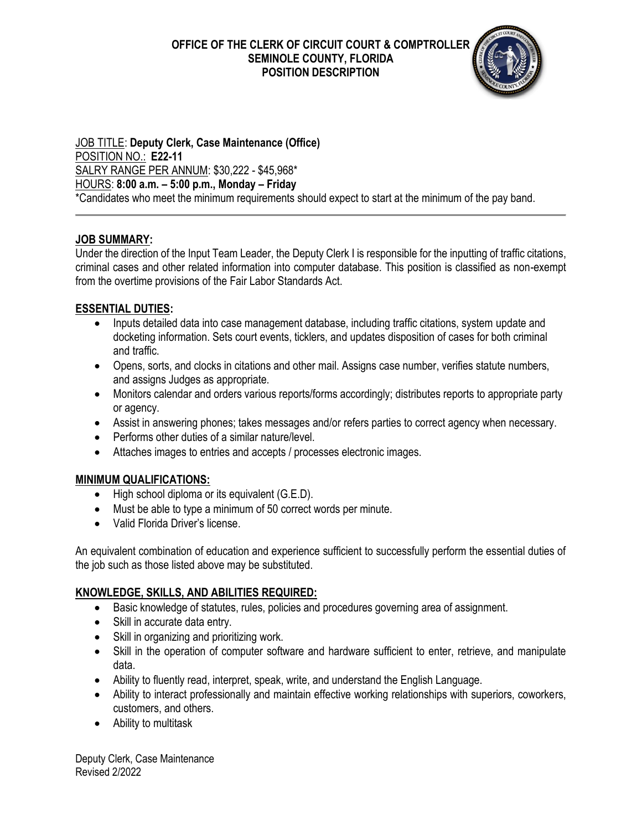**OFFICE OF THE CLERK OF CIRCUIT COURT & COMPTROLLER SEMINOLE COUNTY, FLORIDA POSITION DESCRIPTION** 



JOB TITLE: **Deputy Clerk, Case Maintenance (Office)** POSITION NO.: **E22-11** SALRY RANGE PER ANNUM: \$30,222 - \$45,968\* HOURS: **8:00 a.m. – 5:00 p.m., Monday – Friday** \*Candidates who meet the minimum requirements should expect to start at the minimum of the pay band.

# **JOB SUMMARY:**

Under the direction of the Input Team Leader, the Deputy Clerk I is responsible for the inputting of traffic citations, criminal cases and other related information into computer database. This position is classified as non-exempt from the overtime provisions of the Fair Labor Standards Act.

#### **ESSENTIAL DUTIES:**

- Inputs detailed data into case management database, including traffic citations, system update and docketing information. Sets court events, ticklers, and updates disposition of cases for both criminal and traffic.
- Opens, sorts, and clocks in citations and other mail. Assigns case number, verifies statute numbers, and assigns Judges as appropriate.
- Monitors calendar and orders various reports/forms accordingly; distributes reports to appropriate party or agency.
- Assist in answering phones; takes messages and/or refers parties to correct agency when necessary.
- Performs other duties of a similar nature/level.
- Attaches images to entries and accepts / processes electronic images.

# **MINIMUM QUALIFICATIONS:**

- High school diploma or its equivalent (G.E.D).
- Must be able to type a minimum of 50 correct words per minute.
- Valid Florida Driver's license.

An equivalent combination of education and experience sufficient to successfully perform the essential duties of the job such as those listed above may be substituted.

# **KNOWLEDGE, SKILLS, AND ABILITIES REQUIRED:**

- Basic knowledge of statutes, rules, policies and procedures governing area of assignment.
- Skill in accurate data entry.
- Skill in organizing and prioritizing work.
- Skill in the operation of computer software and hardware sufficient to enter, retrieve, and manipulate data.
- Ability to fluently read, interpret, speak, write, and understand the English Language.
- Ability to interact professionally and maintain effective working relationships with superiors, coworkers, customers, and others.
- Ability to multitask

Deputy Clerk, Case Maintenance Revised 2/2022